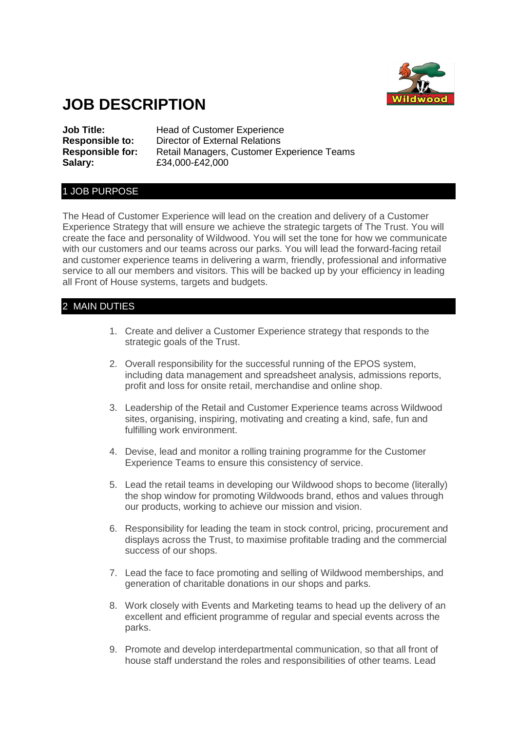

# **JOB DESCRIPTION**

**Salary:** £34,000-£42,000

**Job Title:** Head of Customer Experience **Responsible to:** Director of External Relations **Responsible for:** Retail Managers, Customer Experience Teams

## 1 JOB PURPOSE

The Head of Customer Experience will lead on the creation and delivery of a Customer Experience Strategy that will ensure we achieve the strategic targets of The Trust. You will create the face and personality of Wildwood. You will set the tone for how we communicate with our customers and our teams across our parks. You will lead the forward-facing retail and customer experience teams in delivering a warm, friendly, professional and informative service to all our members and visitors. This will be backed up by your efficiency in leading all Front of House systems, targets and budgets.

## 2 MAIN DUTIES

- 1. Create and deliver a Customer Experience strategy that responds to the strategic goals of the Trust.
- 2. Overall responsibility for the successful running of the EPOS system, including data management and spreadsheet analysis, admissions reports, profit and loss for onsite retail, merchandise and online shop.
- 3. Leadership of the Retail and Customer Experience teams across Wildwood sites, organising, inspiring, motivating and creating a kind, safe, fun and fulfilling work environment.
- 4. Devise, lead and monitor a rolling training programme for the Customer Experience Teams to ensure this consistency of service.
- 5. Lead the retail teams in developing our Wildwood shops to become (literally) the shop window for promoting Wildwoods brand, ethos and values through our products, working to achieve our mission and vision.
- 6. Responsibility for leading the team in stock control, pricing, procurement and displays across the Trust, to maximise profitable trading and the commercial success of our shops.
- 7. Lead the face to face promoting and selling of Wildwood memberships, and generation of charitable donations in our shops and parks.
- 8. Work closely with Events and Marketing teams to head up the delivery of an excellent and efficient programme of regular and special events across the parks.
- 9. Promote and develop interdepartmental communication, so that all front of house staff understand the roles and responsibilities of other teams. Lead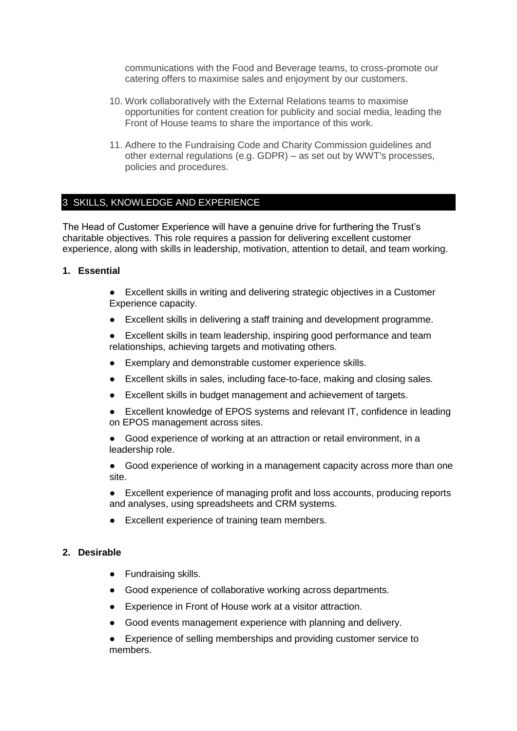communications with the Food and Beverage teams, to cross-promote our catering offers to maximise sales and enjoyment by our customers.

- 10. Work collaboratively with the External Relations teams to maximise opportunities for content creation for publicity and social media, leading the Front of House teams to share the importance of this work.
- 11. Adhere to the Fundraising Code and Charity Commission guidelines and other external regulations (e.g. GDPR) – as set out by WWT's processes, policies and procedures.

#### 3 SKILLS, KNOWLEDGE AND EXPERIENCE

The Head of Customer Experience will have a genuine drive for furthering the Trust's charitable objectives. This role requires a passion for delivering excellent customer experience, along with skills in leadership, motivation, attention to detail, and team working.

#### **1. Essential**

- Excellent skills in writing and delivering strategic objectives in a Customer Experience capacity.
- Excellent skills in delivering a staff training and development programme.
- Excellent skills in team leadership, inspiring good performance and team relationships, achieving targets and motivating others.
- Exemplary and demonstrable customer experience skills.
- Excellent skills in sales, including face-to-face, making and closing sales.
- Excellent skills in budget management and achievement of targets.
- Excellent knowledge of EPOS systems and relevant IT, confidence in leading on EPOS management across sites.
- Good experience of working at an attraction or retail environment, in a leadership role.
- Good experience of working in a management capacity across more than one site.
- Excellent experience of managing profit and loss accounts, producing reports and analyses, using spreadsheets and CRM systems.
- Excellent experience of training team members.

#### **2. Desirable**

- Fundraising skills.
- Good experience of collaborative working across departments.
- Experience in Front of House work at a visitor attraction.
- Good events management experience with planning and delivery.
- Experience of selling memberships and providing customer service to members.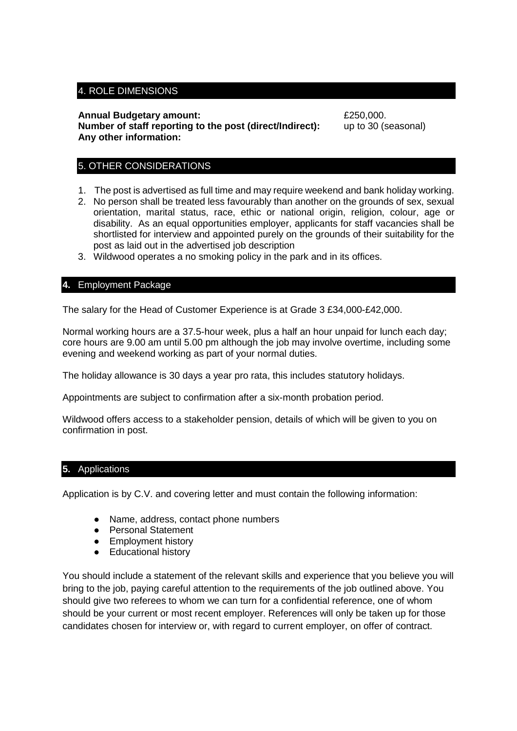# 4. ROLE DIMENSIONS

**Annual Budgetary amount:** £250,000.

**Number of staff reporting to the post (direct/Indirect):** up to 30 (seasonal) **Any other information:**

## 5. OTHER CONSIDERATIONS

- 1. The post is advertised as full time and may require weekend and bank holiday working.
- 2. No person shall be treated less favourably than another on the grounds of sex, sexual orientation, marital status, race, ethic or national origin, religion, colour, age or disability. As an equal opportunities employer, applicants for staff vacancies shall be shortlisted for interview and appointed purely on the grounds of their suitability for the post as laid out in the advertised job description
- 3. Wildwood operates a no smoking policy in the park and in its offices.

## **4.** Employment Package

The salary for the Head of Customer Experience is at Grade 3 £34,000-£42,000.

Normal working hours are a 37.5-hour week, plus a half an hour unpaid for lunch each day; core hours are 9.00 am until 5.00 pm although the job may involve overtime, including some evening and weekend working as part of your normal duties.

The holiday allowance is 30 days a year pro rata, this includes statutory holidays.

Appointments are subject to confirmation after a six-month probation period.

Wildwood offers access to a stakeholder pension, details of which will be given to you on confirmation in post.

## **5.** Applications

Application is by C.V. and covering letter and must contain the following information:

- Name, address, contact phone numbers
- Personal Statement
- **•** Employment history
- Educational history

You should include a statement of the relevant skills and experience that you believe you will bring to the job, paying careful attention to the requirements of the job outlined above. You should give two referees to whom we can turn for a confidential reference, one of whom should be your current or most recent employer. References will only be taken up for those candidates chosen for interview or, with regard to current employer, on offer of contract.